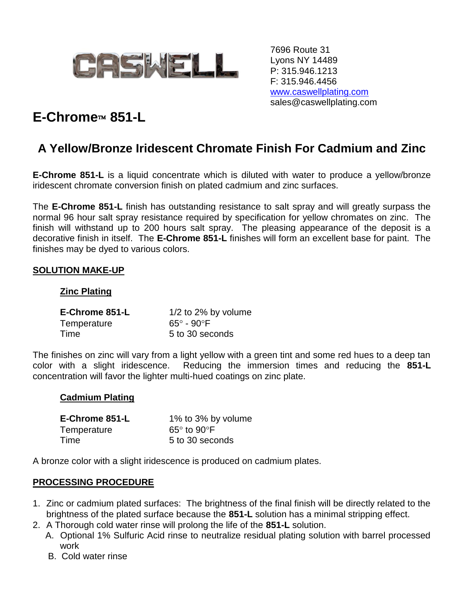

7696 Route 31 Lyons NY 14489 P: 315.946.1213 F: 315.946.4456 [www.caswellplating.com](http://www.caswellplating.com/) sales@caswellplating.com

# **E-Chrome 851-L**

# **A Yellow/Bronze Iridescent Chromate Finish For Cadmium and Zinc**

**E-Chrome 851-L** is a liquid concentrate which is diluted with water to produce a yellow/bronze iridescent chromate conversion finish on plated cadmium and zinc surfaces.

The **E-Chrome 851-L** finish has outstanding resistance to salt spray and will greatly surpass the normal 96 hour salt spray resistance required by specification for yellow chromates on zinc. The finish will withstand up to 200 hours salt spray. The pleasing appearance of the deposit is a decorative finish in itself. The **E-Chrome 851-L** finishes will form an excellent base for paint. The finishes may be dyed to various colors.

# **SOLUTION MAKE-UP**

#### **Zinc Plating**

| E-Chrome 851-L | $1/2$ to 2% by volume     |
|----------------|---------------------------|
| Temperature    | $65^\circ$ - $90^\circ$ F |
| Time           | 5 to 30 seconds           |

The finishes on zinc will vary from a light yellow with a green tint and some red hues to a deep tan color with a slight iridescence. Reducing the immersion times and reducing the **851-L** concentration will favor the lighter multi-hued coatings on zinc plate.

#### **Cadmium Plating**

| E-Chrome 851-L | 1% to 3% by volume         |
|----------------|----------------------------|
| Temperature    | $65^\circ$ to $90^\circ$ F |
| Time           | 5 to 30 seconds            |

A bronze color with a slight iridescence is produced on cadmium plates.

#### **PROCESSING PROCEDURE**

- 1. Zinc or cadmium plated surfaces: The brightness of the final finish will be directly related to the brightness of the plated surface because the **851-L** solution has a minimal stripping effect.
- 2. A Thorough cold water rinse will prolong the life of the **851-L** solution.
	- A. Optional 1% Sulfuric Acid rinse to neutralize residual plating solution with barrel processed work
		- B. Cold water rinse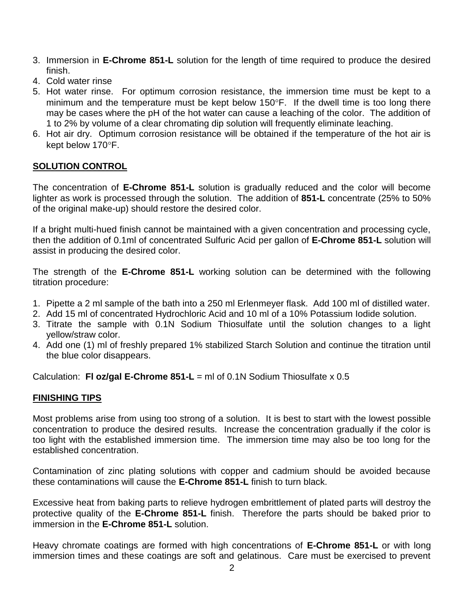- 3. Immersion in **E-Chrome 851-L** solution for the length of time required to produce the desired finish.
- 4. Cold water rinse
- 5. Hot water rinse. For optimum corrosion resistance, the immersion time must be kept to a minimum and the temperature must be kept below  $150^{\circ}$ F. If the dwell time is too long there may be cases where the pH of the hot water can cause a leaching of the color. The addition of 1 to 2% by volume of a clear chromating dip solution will frequently eliminate leaching.
- 6. Hot air dry. Optimum corrosion resistance will be obtained if the temperature of the hot air is kept below 170°F.

# **SOLUTION CONTROL**

The concentration of **E-Chrome 851-L** solution is gradually reduced and the color will become lighter as work is processed through the solution. The addition of **851-L** concentrate (25% to 50% of the original make-up) should restore the desired color.

If a bright multi-hued finish cannot be maintained with a given concentration and processing cycle, then the addition of 0.1ml of concentrated Sulfuric Acid per gallon of **E-Chrome 851-L** solution will assist in producing the desired color.

The strength of the **E-Chrome 851-L** working solution can be determined with the following titration procedure:

- 1. Pipette a 2 ml sample of the bath into a 250 ml Erlenmeyer flask. Add 100 ml of distilled water.
- 2. Add 15 ml of concentrated Hydrochloric Acid and 10 ml of a 10% Potassium Iodide solution.
- 3. Titrate the sample with 0.1N Sodium Thiosulfate until the solution changes to a light yellow/straw color.
- 4. Add one (1) ml of freshly prepared 1% stabilized Starch Solution and continue the titration until the blue color disappears.

Calculation: **Fl oz/gal E-Chrome 851-L** = ml of 0.1N Sodium Thiosulfate x 0.5

#### **FINISHING TIPS**

Most problems arise from using too strong of a solution. It is best to start with the lowest possible concentration to produce the desired results. Increase the concentration gradually if the color is too light with the established immersion time. The immersion time may also be too long for the established concentration.

Contamination of zinc plating solutions with copper and cadmium should be avoided because these contaminations will cause the **E-Chrome 851-L** finish to turn black.

Excessive heat from baking parts to relieve hydrogen embrittlement of plated parts will destroy the protective quality of the **E-Chrome 851-L** finish. Therefore the parts should be baked prior to immersion in the **E-Chrome 851-L** solution.

Heavy chromate coatings are formed with high concentrations of **E-Chrome 851-L** or with long immersion times and these coatings are soft and gelatinous. Care must be exercised to prevent